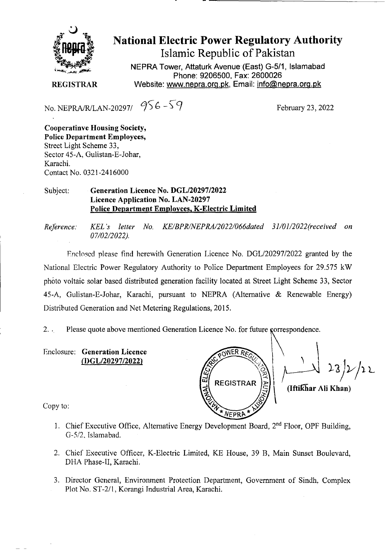

National Electric Power Regulatory Authority Islamic Republic of Pakistan

**NEPRA Tower, Attaturk Avenue (East) G-511, Islamabad Phone: 9206500, Fax: 2600026 REGISTRAR** Website: www.nepra.org.pk, Email: info@nepra.org.pk

No. NEPRA/R/LAN-20297/  $956 - 59$  February 23, 2022

**Cooperatinve housing Society, Police Department Employees,**  Street Light Scheme 33, Sector 45-A, Gulistan-E-Johar, Karachi. Contact No. 0321-2416000

## Subject: **Generation Licence No.** *DGL120297/2022*  **Licence Application No. LAN-20297 Police Department Employees, K-Electric Limited**

*Reference: KEL 's letter No. KE/BPR/NEPRAJ2O22/066dated 31/01/2022(received on 07/02/2022).* 

F.nclosed please find herewith Generation Licence No. DGL/20297/2022 granted by the National Electric Power Regulatory Authority to Police Department Employees for 29.575 kW photo voltaic solar based distributed generation facility located at Street Light Scheme 33, Sector 45-A, Gulistan-E-Johar, Karachi, pursuant to NEPRA (Alternative & Renewable Energy) Distributed Generation and Net Metering Regulations, 2015.

2. ... Please quote above mentioned Generation Licence No. for future correspondence.

Enclosure: **Generation Licence**  *(I)GL/2029712022)* 

**REGISTRAR (IftilZhar All Khan)**  NEPRA

Copy to:

- 1. Chief Executive Office, Alternative Energy Development Board, 2<sup>nd</sup> Floor, OPF Building, G-5/2. Islamabad.
- 2. Chief Executive Officer, K-Electric Limited, KE House, 39 B, Main Sunset Boulevard, DHA Phase-Il, Karachi.
- 3. Director General, Environment Protection Department, Government of Sindh. Complex Plot No. ST-2/l, Korangi Industrial Area, Karachi.